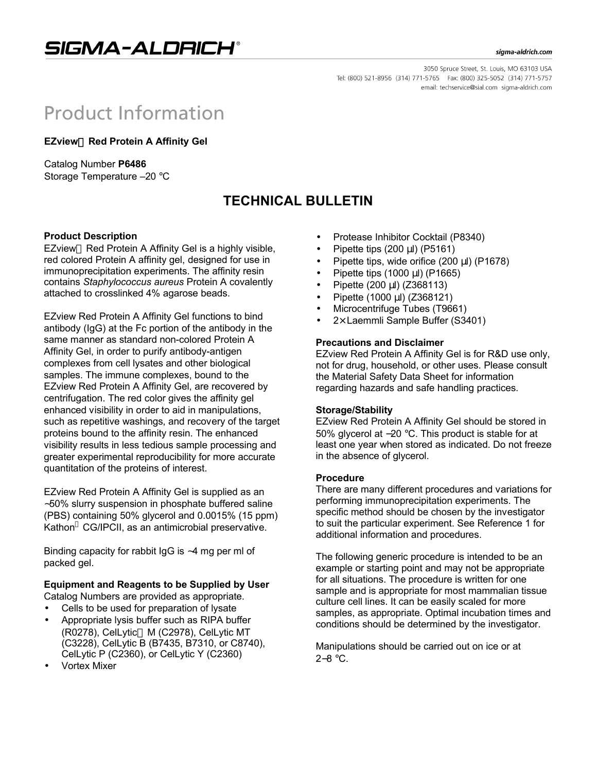SIGMA-ALDRICH®

#### sigma-aldrich.com

3050 Spruce Street, St. Louis, MO 63103 USA Tel: (800) 521-8956 (314) 771-5765 Fax: (800) 325-5052 (314) 771-5757 email: techservice@sial.com sigma-aldrich.com

# **Product Information**

**EZview<sup>™</sup> Red Protein A Affinity Gel** 

Catalog Number **P6486** Storage Temperature –20 °C

# **TECHNICAL BULLETIN**

#### **Product Description**

EZview<sup>™</sup> Red Protein A Affinity Gel is a highly visible, red colored Protein A affinity gel, designed for use in immunoprecipitation experiments. The affinity resin contains *Staphylococcus aureus* Protein A covalently attached to crosslinked 4% agarose beads.

EZview Red Protein A Affinity Gel functions to bind antibody (IgG) at the Fc portion of the antibody in the same manner as standard non-colored Protein A Affinity Gel, in order to purify antibody-antigen complexes from cell lysates and other biological samples. The immune complexes, bound to the EZview Red Protein A Affinity Gel, are recovered by centrifugation. The red color gives the affinity gel enhanced visibility in order to aid in manipulations, such as repetitive washings, and recovery of the target proteins bound to the affinity resin. The enhanced visibility results in less tedious sample processing and greater experimental reproducibility for more accurate quantitation of the proteins of interest.

EZview Red Protein A Affinity Gel is supplied as an ∼50% slurry suspension in phosphate buffered saline (PBS) containing 50% glycerol and 0.0015% (15 ppm) Kathon<sup>®</sup> CG/IPCII, as an antimicrobial preservative.

Binding capacity for rabbit IgG is ∼4 mg per ml of packed gel.

# **Equipment and Reagents to be Supplied by User**

Catalog Numbers are provided as appropriate.

- Cells to be used for preparation of lysate
- Appropriate lysis buffer such as RIPA buffer (R0278), CelLytic<sup>™</sup> M (C2978), CelLytic MT (C3228), CelLytic B (B7435, B7310, or C8740), CelLytic P (C2360), or CelLytic Y (C2360)
- Vortex Mixer
- Protease Inhibitor Cocktail (P8340)
- Pipette tips (200 μl) (P5161)
- Pipette tips, wide orifice (200 μl) (P1678)
- Pipette tips (1000 μl) (P1665)
- Pipette (200 μl) (Z368113)
- Pipette (1000 μl) (Z368121)
- Microcentrifuge Tubes (T9661)
- $2\times$  Laemmli Sample Buffer (S3401)

#### **Precautions and Disclaimer**

EZview Red Protein A Affinity Gel is for R&D use only, not for drug, household, or other uses. Please consult the Material Safety Data Sheet for information regarding hazards and safe handling practices.

#### **Storage/Stability**

EZview Red Protein A Affinity Gel should be stored in 50% glycerol at −20 °C. This product is stable for at least one year when stored as indicated. Do not freeze in the absence of glycerol.

#### **Procedure**

There are many different procedures and variations for performing immunoprecipitation experiments. The specific method should be chosen by the investigator to suit the particular experiment. See Reference 1 for additional information and procedures.

The following generic procedure is intended to be an example or starting point and may not be appropriate for all situations. The procedure is written for one sample and is appropriate for most mammalian tissue culture cell lines. It can be easily scaled for more samples, as appropriate. Optimal incubation times and conditions should be determined by the investigator.

Manipulations should be carried out on ice or at 2−8 °C.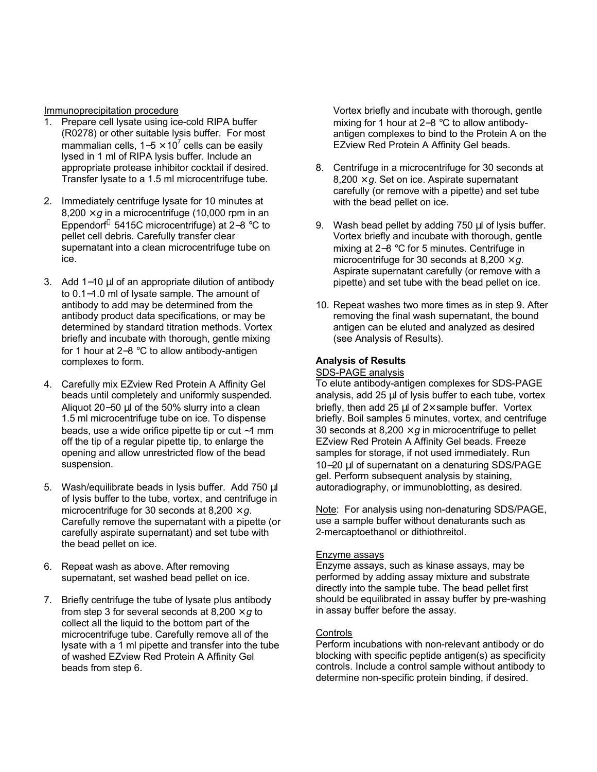Immunoprecipitation procedure

- 1. Prepare cell lysate using ice-cold RIPA buffer (R0278) or other suitable lysis buffer. For most mammalian cells, 1–5 × 10<sup>7</sup> cells can be easily lysed in 1 ml of RIPA lysis buffer. Include an appropriate protease inhibitor cocktail if desired. Transfer lysate to a 1.5 ml microcentrifuge tube.
- 2. Immediately centrifuge lysate for 10 minutes at  $8,200 \times g$  in a microcentrifuge (10,000 rpm in an Eppendorf 5415C microcentrifuge) at 2−8 °C to pellet cell debris. Carefully transfer clear supernatant into a clean microcentrifuge tube on ice.
- 3. Add 1−10 μl of an appropriate dilution of antibody to 0.1−1.0 ml of lysate sample. The amount of antibody to add may be determined from the antibody product data specifications, or may be determined by standard titration methods. Vortex briefly and incubate with thorough, gentle mixing for 1 hour at 2−8 °C to allow antibody-antigen complexes to form.
- 4. Carefully mix EZview Red Protein A Affinity Gel beads until completely and uniformly suspended. Aliquot 20−50 μl of the 50% slurry into a clean 1.5 ml microcentrifuge tube on ice. To dispense beads, use a wide orifice pipette tip or cut ∼1 mm off the tip of a regular pipette tip, to enlarge the opening and allow unrestricted flow of the bead suspension.
- 5. Wash/equilibrate beads in lysis buffer. Add 750 μl of lysis buffer to the tube, vortex, and centrifuge in microcentrifuge for 30 seconds at  $8,200 \times g$ . Carefully remove the supernatant with a pipette (or carefully aspirate supernatant) and set tube with the bead pellet on ice.
- 6. Repeat wash as above. After removing supernatant, set washed bead pellet on ice.
- 7. Briefly centrifuge the tube of lysate plus antibody from step 3 for several seconds at  $8,200 \times g$  to collect all the liquid to the bottom part of the microcentrifuge tube. Carefully remove all of the lysate with a 1 ml pipette and transfer into the tube of washed EZview Red Protein A Affinity Gel beads from step 6.

Vortex briefly and incubate with thorough, gentle mixing for 1 hour at 2−8 °C to allow antibodyantigen complexes to bind to the Protein A on the EZview Red Protein A Affinity Gel beads.

- 8. Centrifuge in a microcentrifuge for 30 seconds at  $8,200 \times g$ . Set on ice. Aspirate supernatant carefully (or remove with a pipette) and set tube with the bead pellet on ice.
- 9. Wash bead pellet by adding 750 μl of lysis buffer. Vortex briefly and incubate with thorough, gentle mixing at 2−8 °C for 5 minutes. Centrifuge in microcentrifuge for 30 seconds at  $8.200 \times a$ . Aspirate supernatant carefully (or remove with a pipette) and set tube with the bead pellet on ice.
- 10. Repeat washes two more times as in step 9. After removing the final wash supernatant, the bound antigen can be eluted and analyzed as desired (see Analysis of Results).

### **Analysis of Results**

#### SDS-PAGE analysis

To elute antibody-antigen complexes for SDS-PAGE analysis, add 25 μl of lysis buffer to each tube, vortex briefly, then add 25  $\mu$ l of 2× sample buffer. Vortex briefly. Boil samples 5 minutes, vortex, and centrifuge 30 seconds at 8,200  $\times$  *g* in microcentrifuge to pellet EZview Red Protein A Affinity Gel beads. Freeze samples for storage, if not used immediately. Run 10−20 μl of supernatant on a denaturing SDS/PAGE gel. Perform subsequent analysis by staining, autoradiography, or immunoblotting, as desired.

Note: For analysis using non-denaturing SDS/PAGE, use a sample buffer without denaturants such as 2-mercaptoethanol or dithiothreitol.

#### Enzyme assays

Enzyme assays, such as kinase assays, may be performed by adding assay mixture and substrate directly into the sample tube. The bead pellet first should be equilibrated in assay buffer by pre-washing in assay buffer before the assay.

#### **Controls**

Perform incubations with non-relevant antibody or do blocking with specific peptide antigen(s) as specificity controls. Include a control sample without antibody to determine non-specific protein binding, if desired.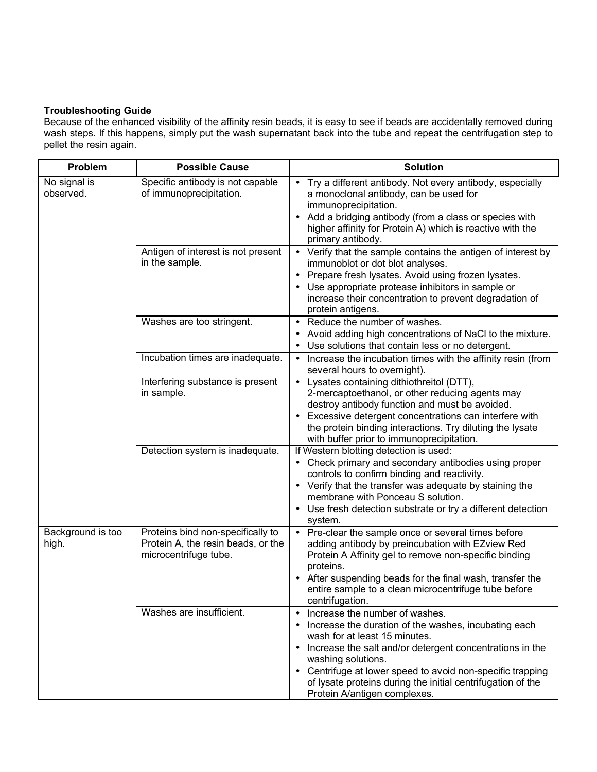## **Troubleshooting Guide**

Because of the enhanced visibility of the affinity resin beads, it is easy to see if beads are accidentally removed during wash steps. If this happens, simply put the wash supernatant back into the tube and repeat the centrifugation step to pellet the resin again.

| Problem                    | <b>Possible Cause</b>                                                                            | <b>Solution</b>                                                                                                                                                                                                                                                                                                                                                          |
|----------------------------|--------------------------------------------------------------------------------------------------|--------------------------------------------------------------------------------------------------------------------------------------------------------------------------------------------------------------------------------------------------------------------------------------------------------------------------------------------------------------------------|
| No signal is<br>observed.  | Specific antibody is not capable<br>of immunoprecipitation.                                      | Try a different antibody. Not every antibody, especially<br>a monoclonal antibody, can be used for<br>immunoprecipitation.<br>Add a bridging antibody (from a class or species with<br>higher affinity for Protein A) which is reactive with the<br>primary antibody.                                                                                                    |
|                            | Antigen of interest is not present<br>in the sample.                                             | • Verify that the sample contains the antigen of interest by<br>immunoblot or dot blot analyses.<br>• Prepare fresh lysates. Avoid using frozen lysates.<br>Use appropriate protease inhibitors in sample or<br>increase their concentration to prevent degradation of<br>protein antigens.                                                                              |
|                            | Washes are too stringent.                                                                        | • Reduce the number of washes.<br>Avoid adding high concentrations of NaCl to the mixture.<br>• Use solutions that contain less or no detergent.                                                                                                                                                                                                                         |
|                            | Incubation times are inadequate.                                                                 | Increase the incubation times with the affinity resin (from<br>$\bullet$<br>several hours to overnight).                                                                                                                                                                                                                                                                 |
|                            | Interfering substance is present<br>in sample.                                                   | Lysates containing dithiothreitol (DTT),<br>$\bullet$<br>2-mercaptoethanol, or other reducing agents may<br>destroy antibody function and must be avoided.<br>Excessive detergent concentrations can interfere with<br>the protein binding interactions. Try diluting the lysate<br>with buffer prior to immunoprecipitation.                                            |
|                            | Detection system is inadequate.                                                                  | If Western blotting detection is used:<br>• Check primary and secondary antibodies using proper<br>controls to confirm binding and reactivity.<br>• Verify that the transfer was adequate by staining the<br>membrane with Ponceau S solution.<br>• Use fresh detection substrate or try a different detection<br>system.                                                |
| Background is too<br>high. | Proteins bind non-specifically to<br>Protein A, the resin beads, or the<br>microcentrifuge tube. | • Pre-clear the sample once or several times before<br>adding antibody by preincubation with EZview Red<br>Protein A Affinity gel to remove non-specific binding<br>proteins.<br>• After suspending beads for the final wash, transfer the<br>entire sample to a clean microcentrifuge tube before<br>centrifugation.                                                    |
|                            | Washes are insufficient.                                                                         | Increase the number of washes.<br>Increase the duration of the washes, incubating each<br>wash for at least 15 minutes.<br>• Increase the salt and/or detergent concentrations in the<br>washing solutions.<br>• Centrifuge at lower speed to avoid non-specific trapping<br>of lysate proteins during the initial centrifugation of the<br>Protein A/antigen complexes. |